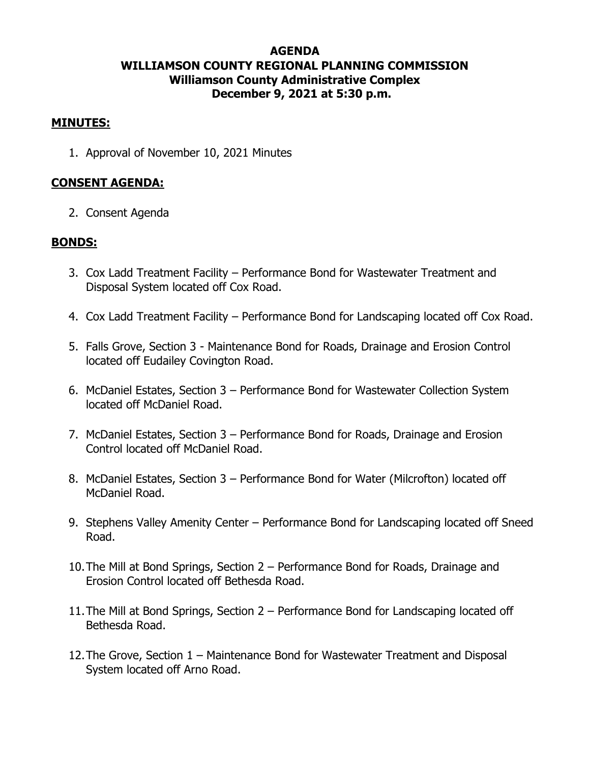# **AGENDA WILLIAMSON COUNTY REGIONAL PLANNING COMMISSION Williamson County Administrative Complex December 9, 2021 at 5:30 p.m.**

### **MINUTES:**

1. Approval of November 10, 2021 Minutes

### **CONSENT AGENDA:**

2. Consent Agenda

### **BONDS:**

- 3. Cox Ladd Treatment Facility Performance Bond for Wastewater Treatment and Disposal System located off Cox Road.
- 4. Cox Ladd Treatment Facility Performance Bond for Landscaping located off Cox Road.
- 5. Falls Grove, Section 3 Maintenance Bond for Roads, Drainage and Erosion Control located off Eudailey Covington Road.
- 6. McDaniel Estates, Section 3 Performance Bond for Wastewater Collection System located off McDaniel Road.
- 7. McDaniel Estates, Section 3 Performance Bond for Roads, Drainage and Erosion Control located off McDaniel Road.
- 8. McDaniel Estates, Section 3 Performance Bond for Water (Milcrofton) located off McDaniel Road.
- 9. Stephens Valley Amenity Center Performance Bond for Landscaping located off Sneed Road.
- 10.The Mill at Bond Springs, Section 2 Performance Bond for Roads, Drainage and Erosion Control located off Bethesda Road.
- 11.The Mill at Bond Springs, Section 2 Performance Bond for Landscaping located off Bethesda Road.
- 12.The Grove, Section 1 Maintenance Bond for Wastewater Treatment and Disposal System located off Arno Road.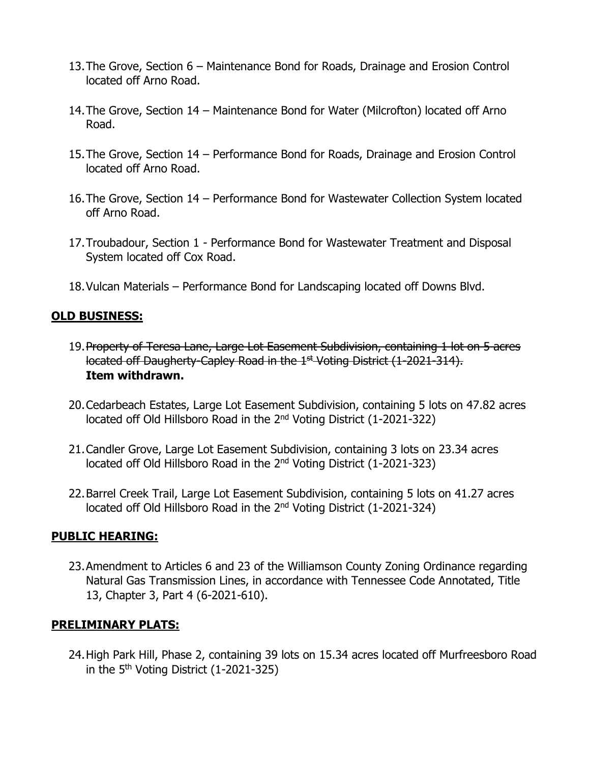- 13.The Grove, Section 6 Maintenance Bond for Roads, Drainage and Erosion Control located off Arno Road.
- 14.The Grove, Section 14 Maintenance Bond for Water (Milcrofton) located off Arno Road.
- 15.The Grove, Section 14 Performance Bond for Roads, Drainage and Erosion Control located off Arno Road.
- 16.The Grove, Section 14 Performance Bond for Wastewater Collection System located off Arno Road.
- 17.Troubadour, Section 1 Performance Bond for Wastewater Treatment and Disposal System located off Cox Road.
- 18.Vulcan Materials Performance Bond for Landscaping located off Downs Blvd.

### **OLD BUSINESS:**

- 19.Property of Teresa Lane, Large Lot Easement Subdivision, containing 1 lot on 5 acres located off Daugherty-Capley Road in the 1<sup>st</sup> Voting District (1-2021-314). **Item withdrawn.**
- 20.Cedarbeach Estates, Large Lot Easement Subdivision, containing 5 lots on 47.82 acres located off Old Hillsboro Road in the 2<sup>nd</sup> Voting District (1-2021-322)
- 21.Candler Grove, Large Lot Easement Subdivision, containing 3 lots on 23.34 acres located off Old Hillsboro Road in the 2<sup>nd</sup> Voting District (1-2021-323)
- 22.Barrel Creek Trail, Large Lot Easement Subdivision, containing 5 lots on 41.27 acres located off Old Hillsboro Road in the 2<sup>nd</sup> Voting District (1-2021-324)

## **PUBLIC HEARING:**

23.Amendment to Articles 6 and 23 of the Williamson County Zoning Ordinance regarding Natural Gas Transmission Lines, in accordance with Tennessee Code Annotated, Title 13, Chapter 3, Part 4 (6-2021-610).

#### **PRELIMINARY PLATS:**

24.High Park Hill, Phase 2, containing 39 lots on 15.34 acres located off Murfreesboro Road in the  $5<sup>th</sup>$  Voting District (1-2021-325)